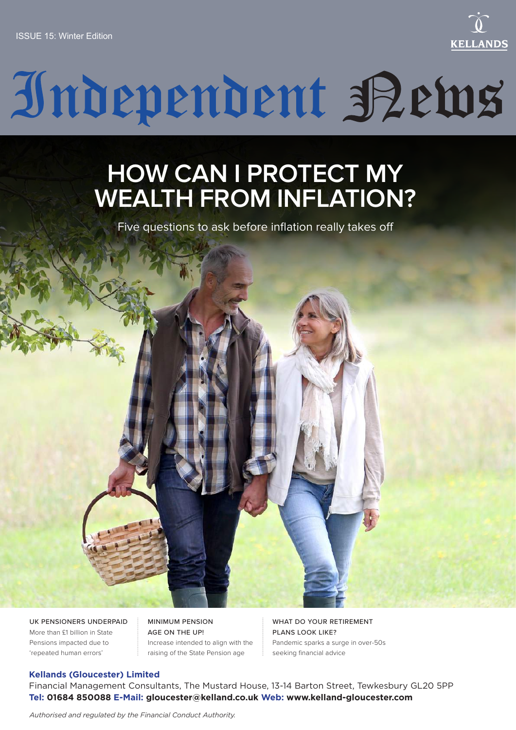

# Independent Petus

# **HOW CAN I PROTECT MY WEALTH FROM INFLATION?**

Five questions to ask before inflation really takes off



UK PENSIONERS UNDERPAID More than £1 billion in State Pensions impacted due to 'repeated human errors'

MINIMUM PENSION AGE ON THE UP! Increase intended to align with the raising of the State Pension age

WHAT DO YOUR RETIREMENT PLANS LOOK LIKE? Pandemic sparks a surge in over-50s seeking financial advice

#### **Kellands (Gloucester) Limited**

Financial Management Consultants, The Mustard House, 13-14 Barton Street, Tewkesbury GL20 5PP **Tel: 01684 850088 E-Mail: gloucester@kelland.co.uk Web: www.kelland-gloucester.com**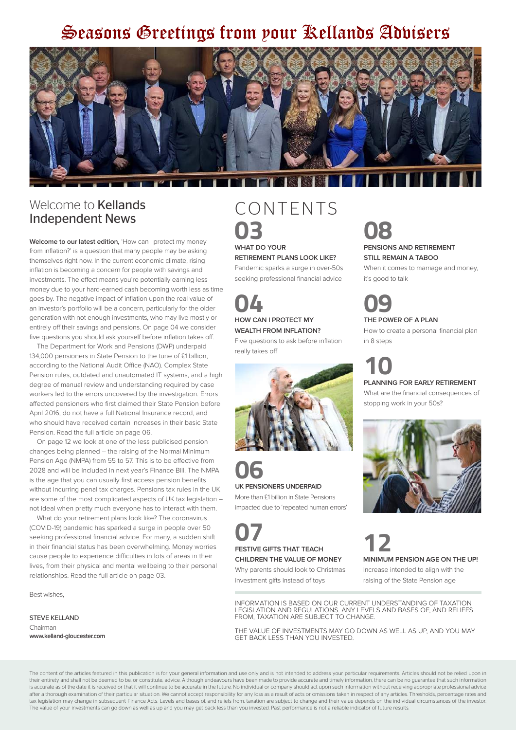## Seasons Greetings from pour Rellands Advisers



### Welcome to **Kellands** Independent News

**Welcome to our latest edition,** 'How can I protect my money from inflation?' is a question that many people may be asking themselves right now. In the current economic climate, rising inflation is becoming a concern for people with savings and investments. The effect means you're potentially earning less money due to your hard-earned cash becoming worth less as time goes by. The negative impact of inflation upon the real value of an investor's portfolio will be a concern, particularly for the older generation with not enough investments, who may live mostly or entirely off their savings and pensions. On page 04 we consider five questions you should ask yourself before inflation takes off.

The Department for Work and Pensions (DWP) underpaid 134,000 pensioners in State Pension to the tune of £1 billion, according to the National Audit Office (NAO). Complex State Pension rules, outdated and unautomated IT systems, and a high degree of manual review and understanding required by case workers led to the errors uncovered by the investigation. Errors affected pensioners who first claimed their State Pension before April 2016, do not have a full National Insurance record, and who should have received certain increases in their basic State Pension. Read the full article on page 06.

On page 12 we look at one of the less publicised pension changes being planned – the raising of the Normal Minimum Pension Age (NMPA) from 55 to 57. This is to be effective from 2028 and will be included in next year's Finance Bill. The NMPA is the age that you can usually first access pension benefits without incurring penal tax charges. Pensions tax rules in the UK are some of the most complicated aspects of UK tax legislation – not ideal when pretty much everyone has to interact with them.

What do your retirement plans look like? The coronavirus (COVID-19) pandemic has sparked a surge in people over 50 seeking professional financial advice. For many, a sudden shift in their financial status has been overwhelming. Money worries cause people to experience difficulties in lots of areas in their lives, from their physical and mental wellbeing to their personal relationships. Read the full article on page 03.

Best wishes,

STEVE KELLAND Chairman **www.kelland-gloucester.com**

### CONTENTS **03 WHAT DO YOUR**

#### **RETIREMENT PLANS LOOK LIKE?**

Pandemic sparks a surge in over-50s seeking professional financial advice

# **04 HOW CAN I PROTECT MY WEALTH FROM INFLATION?**

Five questions to ask before inflation really takes off



**06 UK PENSIONERS UNDERPAID** More than £1 billion in State Pensions impacted due to 'repeated human errors'

**07 FESTIVE GIFTS THAT TEACH CHILDREN THE VALUE OF MONEY**

Why parents should look to Christmas

investment gifts instead of toys

# **08**

#### **PENSIONS AND RETIREMENT STILL REMAIN A TABOO**

When it comes to marriage and money. it's good to talk

### **09 THE POWER OF A PLAN**

How to create a personal financial plan in 8 steps

# **10**

**PLANNING FOR EARLY RETIREMENT**

What are the financial consequences of stopping work in your 50s?



**12 MINIMUM PENSION AGE ON THE UP!** Increase intended to align with the raising of the State Pension age

INFORMATION IS BASED ON OUR CURRENT UNDERSTANDING OF TAXATION LEGISLATION AND REGULATIONS. ANY LEVELS AND BASES OF, AND RELIEFS FROM, TAXATION ARE SUBJECT TO CHANGE.

THE VALUE OF INVESTMENTS MAY GO DOWN AS WELL AS UP, AND YOU MAY GET BACK LESS THAN YOU INVESTED.

The value of your investments can go down as well as up and you may get back less than you invested. Past performance is not a reliable indicator of future results The content of the articles featured in this publication is for your general information and use only and is not intended to address your particular requirements. Articles should not be relied upon in their entirety and shall not be deemed to be, or constitute, advice. Although endeavours have been made to provide accurate and timely information, there can be no quarantee that such information is accurate as of the date it is received or that it will continue to be accurate in the future. No individual or company should act upon such information without receiving appropriate professional advice after a thorough examination of their particular situation. We cannot accept responsibility for any loss as a result of acts or omissions taken in respect of any articles. Thresholds, percentage rates and tax legislation may change in subsequent Finance Acts. Levels and bases of, and reliefs from, taxation are subject to change and their value depends on the individual circumstances of the investor.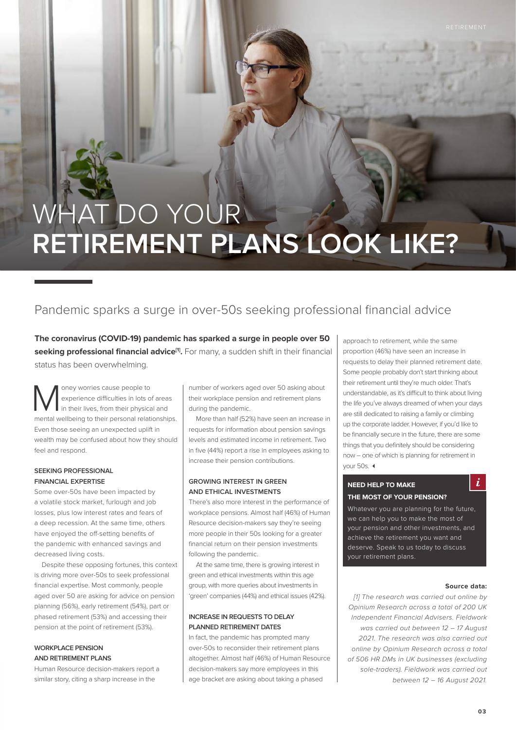# WHAT DO YOUR **RETIREMENT PLANS LOOK LIKE?**

### Pandemic sparks a surge in over-50s seeking professional financial advice

**The coronavirus (COVID-19) pandemic has sparked a surge in people over 50**  seeking professional financial advice<sup>[1]</sup>. For many, a sudden shift in their financial status has been overwhelming.

oney worries cause people to experience difficulties in lots of areas in their lives, from their physical and mental wellbeing to their personal relationships. Even those seeing an unexpected uplift in wealth may be confused about how they should feel and respond.

#### **SEEKING PROFESSIONAL FINANCIAL EXPERTISE**

Some over-50s have been impacted by a volatile stock market, furlough and job losses, plus low interest rates and fears of a deep recession. At the same time, others have enjoyed the off-setting benefits of the pandemic with enhanced savings and decreased living costs.

Despite these opposing fortunes, this context is driving more over-50s to seek professional financial expertise. Most commonly, people aged over 50 are asking for advice on pension planning (56%), early retirement (54%), part or phased retirement (53%) and accessing their pension at the point of retirement (53%).

#### **WORKPLACE PENSION AND RETIREMENT PLANS**

Human Resource decision-makers report a similar story, citing a sharp increase in the

number of workers aged over 50 asking about their workplace pension and retirement plans during the pandemic.

More than half (52%) have seen an increase in requests for information about pension savings levels and estimated income in retirement. Two in five (44%) report a rise in employees asking to increase their pension contributions.

#### **GROWING INTEREST IN GREEN AND ETHICAL INVESTMENTS**

There's also more interest in the performance of workplace pensions. Almost half (46%) of Human Resource decision-makers say they're seeing more people in their 50s looking for a greater financial return on their pension investments following the pandemic.

At the same time, there is growing interest in green and ethical investments within this age group, with more queries about investments in 'green' companies (44%) and ethical issues (42%).

#### **INCREASE IN REQUESTS TO DELAY PLANNED RETIREMENT DATES**

In fact, the pandemic has prompted many over-50s to reconsider their retirement plans altogether. Almost half (46%) of Human Resource decision-makers say more employees in this age bracket are asking about taking a phased

approach to retirement, while the same proportion (46%) have seen an increase in requests to delay their planned retirement date. Some people probably don't start thinking about their retirement until they're much older. That's understandable, as it's difficult to think about living the life you've always dreamed of when your days are still dedicated to raising a family or climbing up the corporate ladder. However, if you'd like to be financially secure in the future, there are some things that you definitely should be considering now – one of which is planning for retirement in your  $50s$   $\triangleleft$ 

#### **NEED HELP TO MAKE THE MOST OF YOUR PENSION?**

Whatever you are planning for the future, we can help you to make the most of your pension and other investments, and achieve the retirement you want and deserve. Speak to us today to discuss your retirement plans.

#### **Source data:**

i

*[1] The research was carried out online by Opinium Research across a total of 200 UK Independent Financial Advisers. Fieldwork was carried out between 12 – 17 August 2021. The research was also carried out online by Opinium Research across a total of 506 HR DMs in UK businesses (excluding sole-traders). Fieldwork was carried out between 12 – 16 August 2021.*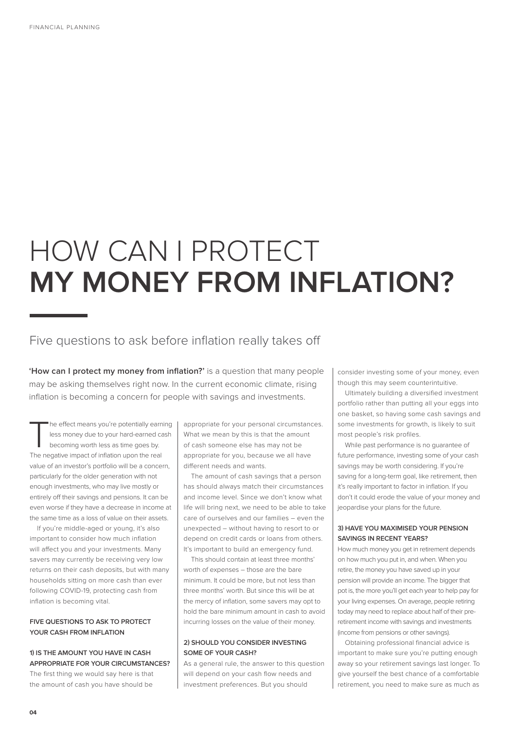# HOW CAN I PROTECT **MY MONEY FROM INFLATION?**

### Five questions to ask before inflation really takes off

**'How can I protect my money from inflation?'** is a question that many people may be asking themselves right now. In the current economic climate, rising inflation is becoming a concern for people with savings and investments.

The effect means you're potentially earning<br>less money due to your hard-earned cash<br>becoming worth less as time goes by.<br>The possitive impact of inflation upon the real less money due to your hard-earned cash becoming worth less as time goes by. The negative impact of inflation upon the real value of an investor's portfolio will be a concern, particularly for the older generation with not enough investments, who may live mostly or entirely off their savings and pensions. It can be even worse if they have a decrease in income at the same time as a loss of value on their assets.

If you're middle-aged or young, it's also important to consider how much inflation will affect you and your investments. Many savers may currently be receiving very low returns on their cash deposits, but with many households sitting on more cash than ever following COVID-19, protecting cash from inflation is becoming vital.

#### **FIVE QUESTIONS TO ASK TO PROTECT YOUR CASH FROM INFLATION**

#### **1) IS THE AMOUNT YOU HAVE IN CASH APPROPRIATE FOR YOUR CIRCUMSTANCES?**

The first thing we would say here is that the amount of cash you have should be

appropriate for your personal circumstances. What we mean by this is that the amount of cash someone else has may not be appropriate for you, because we all have different needs and wants.

The amount of cash savings that a person has should always match their circumstances and income level. Since we don't know what life will bring next, we need to be able to take care of ourselves and our families – even the unexpected – without having to resort to or depend on credit cards or loans from others. It's important to build an emergency fund.

This should contain at least three months' worth of expenses – those are the bare minimum. It could be more, but not less than three months' worth. But since this will be at the mercy of inflation, some savers may opt to hold the bare minimum amount in cash to avoid incurring losses on the value of their money.

#### **2) SHOULD YOU CONSIDER INVESTING SOME OF YOUR CASH?**

As a general rule, the answer to this question will depend on your cash flow needs and investment preferences. But you should

consider investing some of your money, even though this may seem counterintuitive.

Ultimately building a diversified investment portfolio rather than putting all your eggs into one basket, so having some cash savings and some investments for growth, is likely to suit most people's risk profiles.

While past performance is no guarantee of future performance, investing some of your cash savings may be worth considering. If you're saving for a long-term goal, like retirement, then it's really important to factor in inflation. If you don't it could erode the value of your money and jeopardise your plans for the future.

#### **3) HAVE YOU MAXIMISED YOUR PENSION SAVINGS IN RECENT YEARS?**

How much money you get in retirement depends on how much you put in, and when. When you retire, the money you have saved up in your pension will provide an income. The bigger that pot is, the more you'll get each year to help pay for your living expenses. On average, people retiring today may need to replace about half of their preretirement income with savings and investments (income from pensions or other savings).

Obtaining professional financial advice is important to make sure you're putting enough away so your retirement savings last longer. To give yourself the best chance of a comfortable retirement, you need to make sure as much as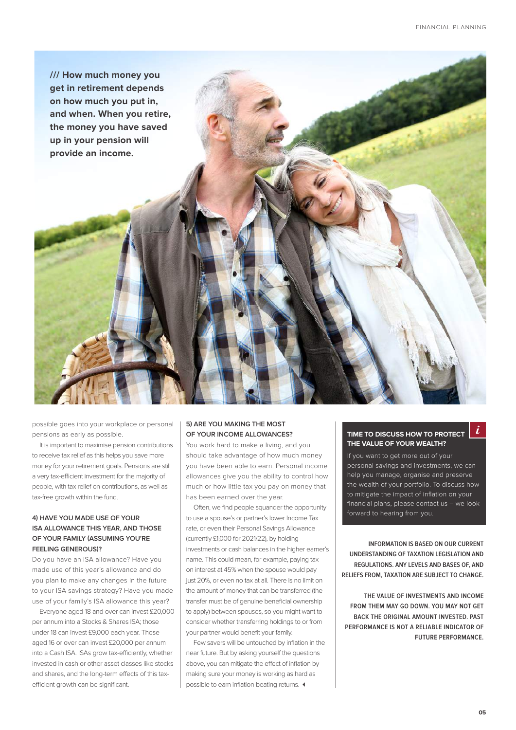

possible goes into your workplace or personal pensions as early as possible.

It is important to maximise pension contributions to receive tax relief as this helps you save more money for your retirement goals. Pensions are still a very tax-efficient investment for the majority of people, with tax relief on contributions, as well as tax-free growth within the fund.

#### **4) HAVE YOU MADE USE OF YOUR ISA ALLOWANCE THIS YEAR, AND THOSE OF YOUR FAMILY (ASSUMING YOU'RE FEELING GENEROUS)?**

Do you have an ISA allowance? Have you made use of this year's allowance and do you plan to make any changes in the future to your ISA savings strategy? Have you made use of your family's ISA allowance this year?

Everyone aged 18 and over can invest £20,000 per annum into a Stocks & Shares ISA; those under 18 can invest £9,000 each year. Those aged 16 or over can invest £20,000 per annum into a Cash ISA. ISAs grow tax-efficiently, whether invested in cash or other asset classes like stocks and shares, and the long-term effects of this taxefficient growth can be significant.

#### **5) ARE YOU MAKING THE MOST OF YOUR INCOME ALLOWANCES?**

You work hard to make a living, and you should take advantage of how much money you have been able to earn. Personal income allowances give you the ability to control how much or how little tax you pay on money that has been earned over the year.

Often, we find people squander the opportunity to use a spouse's or partner's lower Income Tax rate, or even their Personal Savings Allowance (currently £1,000 for 2021/22), by holding investments or cash balances in the higher earner's name. This could mean, for example, paying tax on interest at 45% when the spouse would pay just 20%, or even no tax at all. There is no limit on the amount of money that can be transferred (the transfer must be of genuine beneficial ownership to apply) between spouses, so you might want to consider whether transferring holdings to or from your partner would benefit your family.

Few savers will be untouched by inflation in the near future. But by asking yourself the questions above, you can mitigate the effect of inflation by making sure your money is working as hard as possible to earn inflation-beating returns.  $\triangleleft$ 

#### **TIME TO DISCUSS HOW TO PROTECT THE VALUE OF YOUR WEALTH?**

If you want to get more out of your personal savings and investments, we can help you manage, organise and preserve the wealth of your portfolio. To discuss how to mitigate the impact of inflation on your financial plans, please contact us – we look forward to hearing from you.

**INFORMATION IS BASED ON OUR CURRENT UNDERSTANDING OF TAXATION LEGISLATION AND REGULATIONS. ANY LEVELS AND BASES OF, AND RELIEFS FROM, TAXATION ARE SUBJECT TO CHANGE.** 

**THE VALUE OF INVESTMENTS AND INCOME FROM THEM MAY GO DOWN. YOU MAY NOT GET BACK THE ORIGINAL AMOUNT INVESTED. PAST PERFORMANCE IS NOT A RELIABLE INDICATOR OF FUTURE PERFORMANCE.**

i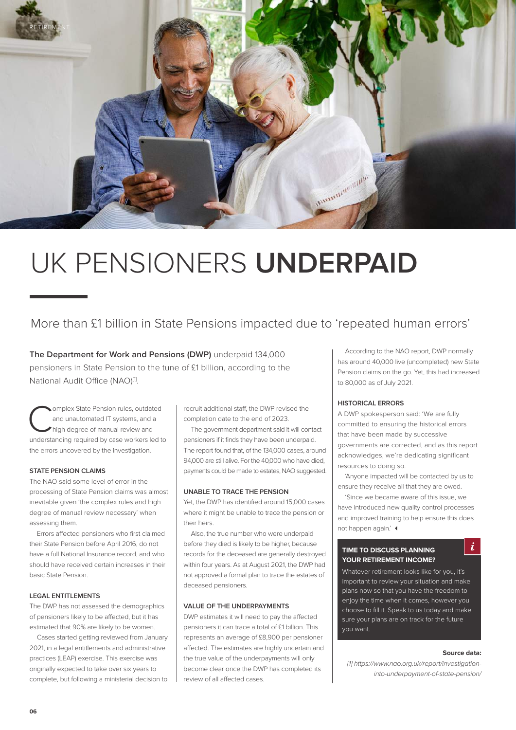

# UK PENSIONERS **UNDERPAID**

### More than £1 billion in State Pensions impacted due to 'repeated human errors'

**The Department for Work and Pensions (DWP)** underpaid 134,000 pensioners in State Pension to the tune of £1 billion, according to the National Audit Office (NAO)<sup>[1]</sup>.

Complex State Pension rules, outdated<br>and unautomated IT systems, and a<br>high degree of manual review and<br>understanding roquired by ease werkers led to and unautomated IT systems, and a high degree of manual review and understanding required by case workers led to the errors uncovered by the investigation.

#### **STATE PENSION CLAIMS**

The NAO said some level of error in the processing of State Pension claims was almost inevitable given 'the complex rules and high degree of manual review necessary' when assessing them.

Errors affected pensioners who first claimed their State Pension before April 2016, do not have a full National Insurance record, and who should have received certain increases in their basic State Pension.

#### **LEGAL ENTITLEMENTS**

The DWP has not assessed the demographics of pensioners likely to be affected, but it has estimated that 90% are likely to be women.

Cases started getting reviewed from January 2021, in a legal entitlements and administrative practices (LEAP) exercise. This exercise was originally expected to take over six years to complete, but following a ministerial decision to

recruit additional staff, the DWP revised the completion date to the end of 2023.

The government department said it will contact pensioners if it finds they have been underpaid. The report found that, of the 134,000 cases, around 94,000 are still alive. For the 40,000 who have died, payments could be made to estates, NAO suggested.

#### **UNABLE TO TRACE THE PENSION**

Yet, the DWP has identified around 15,000 cases where it might be unable to trace the pension or their heirs.

Also, the true number who were underpaid before they died is likely to be higher, because records for the deceased are generally destroyed within four years. As at August 2021, the DWP had not approved a formal plan to trace the estates of deceased pensioners.

#### **VALUE OF THE UNDERPAYMENTS**

DWP estimates it will need to pay the affected pensioners it can trace a total of £1 billion. This represents an average of £8,900 per pensioner affected. The estimates are highly uncertain and the true value of the underpayments will only become clear once the DWP has completed its review of all affected cases.

According to the NAO report, DWP normally has around 40,000 live (uncompleted) new State Pension claims on the go. Yet, this had increased to 80,000 as of July 2021.

#### **HISTORICAL ERRORS**

A DWP spokesperson said: 'We are fully committed to ensuring the historical errors that have been made by successive governments are corrected, and as this report acknowledges, we're dedicating significant resources to doing so.

'Anyone impacted will be contacted by us to ensure they receive all that they are owed.

'Since we became aware of this issue, we have introduced new quality control processes and improved training to help ensure this does not happen again.'  $\triangleleft$ 

#### **TIME TO DISCUSS PLANNING YOUR RETIREMENT INCOME?**

 $\boldsymbol{i}$ 

Whatever retirement looks like for you, it's important to review your situation and make plans now so that you have the freedom to enjoy the time when it comes, however you choose to fill it. Speak to us today and make sure your plans are on track for the future you want.

#### **Source data:**

*[1] https://www.nao.org.uk/report/investigationinto-underpayment-of-state-pension/*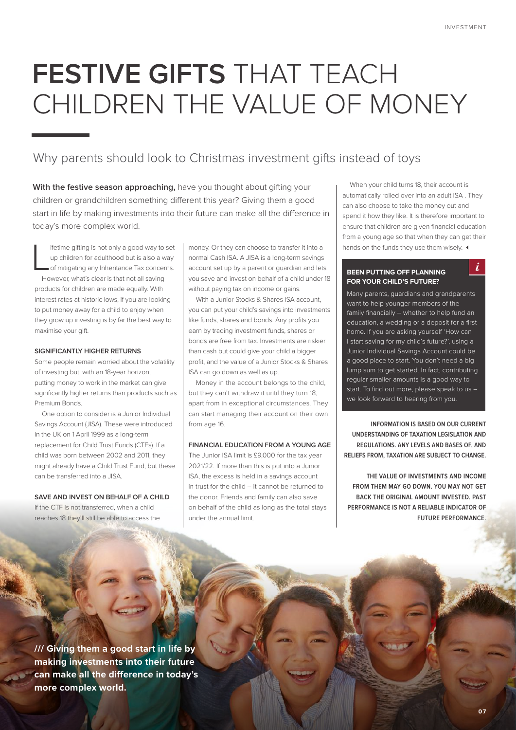$\dot{i}$ 

# **FESTIVE GIFTS** THAT TEACH CHILDREN THE VALUE OF MONEY

### Why parents should look to Christmas investment gifts instead of toys

With the festive season approaching, have you thought about gifting your children or grandchildren something different this year? Giving them a good start in life by making investments into their future can make all the difference in today's more complex world.

 $\overline{\mathsf{L}}$ ifetime gifting is not only a good way to set up children for adulthood but is also a way of mitigating any Inheritance Tax concerns. However, what's clear is that not all saving products for children are made equally. With interest rates at historic lows, if you are looking to put money away for a child to enjoy when they grow up investing is by far the best way to maximise your gift.

#### **SIGNIFICANTLY HIGHER RETURNS**

Some people remain worried about the volatility of investing but, with an 18-year horizon, putting money to work in the market can give significantly higher returns than products such as Premium Bonds.

One option to consider is a Junior Individual Savings Account (JISA). These were introduced in the UK on 1 April 1999 as a long-term replacement for Child Trust Funds (CTFs). If a child was born between 2002 and 2011, they might already have a Child Trust Fund, but these can be transferred into a JISA.

#### **SAVE AND INVEST ON BEHALF OF A CHILD**

If the CTF is not transferred, when a child reaches 18 they'll still be able to access the money. Or they can choose to transfer it into a normal Cash ISA. A JISA is a long-term savings account set up by a parent or guardian and lets you save and invest on behalf of a child under 18 without paying tax on income or gains.

With a Junior Stocks & Shares ISA account, you can put your child's savings into investments like funds, shares and bonds. Any profits you earn by trading investment funds, shares or bonds are free from tax. Investments are riskier than cash but could give your child a bigger profit, and the value of a Junior Stocks & Shares ISA can go down as well as up.

Money in the account belongs to the child, but they can't withdraw it until they turn 18, apart from in exceptional circumstances. They can start managing their account on their own from age 16

#### **FINANCIAL EDUCATION FROM A YOUNG AGE**

The Junior ISA limit is £9,000 for the tax year 2021/22. If more than this is put into a Junior ISA, the excess is held in a savings account in trust for the child – it cannot be returned to the donor. Friends and family can also save on behalf of the child as long as the total stays under the annual limit.

When your child turns 18, their account is automatically rolled over into an adult ISA . They can also choose to take the money out and spend it how they like. It is therefore important to ensure that children are given financial education from a young age so that when they can get their hands on the funds they use them wisely.  $\triangleleft$ 

#### **BEEN PUTTING OFF PLANNING FOR YOUR CHILD'S FUTURE?**

Many parents, guardians and grandparents want to help younger members of the family financially – whether to help fund an education, a wedding or a deposit for a first home. If you are asking yourself 'How can I start saving for my child's future?', using a Junior Individual Savings Account could be a good place to start. You don't need a big lump sum to get started. In fact, contributing regular smaller amounts is a good way to start. To find out more, please speak to us – we look forward to hearing from you.

**INFORMATION IS BASED ON OUR CURRENT UNDERSTANDING OF TAXATION LEGISLATION AND REGULATIONS. ANY LEVELS AND BASES OF, AND RELIEFS FROM, TAXATION ARE SUBJECT TO CHANGE.** 

**THE VALUE OF INVESTMENTS AND INCOME FROM THEM MAY GO DOWN. YOU MAY NOT GET BACK THE ORIGINAL AMOUNT INVESTED. PAST PERFORMANCE IS NOT A RELIABLE INDICATOR OF FUTURE PERFORMANCE.**

**/// Giving them a good start in life by making investments into their future can make all the difference in today's more complex world.**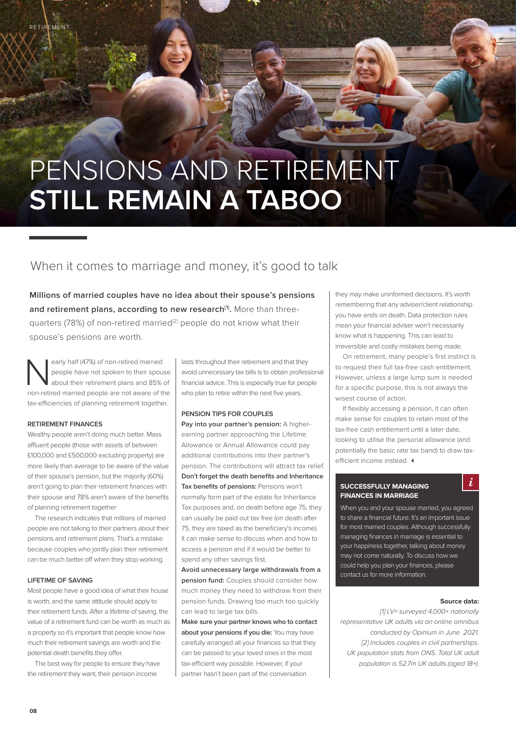# PENSIONS AND RETIREMENT **STILL REMAIN A TABOO**

### When it comes to marriage and money, it's good to talk

**Millions of married couples have no idea about their spouse's pensions**  and retirement plans, according to new research<sup>[1]</sup>. More than threequarters (78%) of non-retired married<sup>[2]</sup> people do not know what their spouse's pensions are worth.

early half (47%) of non-retired married people have not spoken to their spouse about their retirement plans and 85% of non-retired married people are not aware of the tax-efficiencies of planning retirement together.

#### **RETIREMENT FINANCES**

Wealthy people aren't doing much better. Mass affluent people (those with assets of between £100,000 and £500,000 excluding property) are more likely than average to be aware of the value of their spouse's pension, but the majority (60%) aren't going to plan their retirement finances with their spouse and 78% aren't aware of the benefits of planning retirement together

The research indicates that millions of married people are not talking to their partners about their pensions and retirement plans. That's a mistake because couples who jointly plan their retirement can be much better off when they stop working.

#### **LIFETIME OF SAVING**

Most people have a good idea of what their house is worth, and the same attitude should apply to their retirement funds. After a lifetime of saving, the value of a retirement fund can be worth as much as a property so it's important that people know how much their retirement savings are worth and the potential death benefits they offer.

The best way for people to ensure they have the retirement they want, their pension income

lasts throughout their retirement and that they avoid unnecessary tax bills is to obtain professional financial advice. This is especially true for people who plan to retire within the next five years.

#### **PENSION TIPS FOR COUPLES**

**Pay into your partner's pension:** A higherearning partner approaching the Lifetime Allowance or Annual Allowance could pay additional contributions into their partner's pension. The contributions will attract tax relief. **Don't forget the death benefits and Inheritance Tax benefits of pensions:** Pensions won't normally form part of the estate for Inheritance Tax purposes and, on death before age 75, they can usually be paid out tax free (on death after 75, they are taxed as the beneficiary's income). It can make sense to discuss when and how to access a pension and if it would be better to spend any other savings first.

**Avoid unnecessary large withdrawals from a pension fund:** Couples should consider how much money they need to withdraw from their pension funds. Drawing too much too quickly can lead to large tax bills.

**Make sure your partner knows who to contact about your pensions if you die:** You may have carefully arranged all your finances so that they can be passed to your loved ones in the most tax-efficient way possible. However, if your partner hasn't been part of the conversation

they may make uninformed decisions. It's worth remembering that any adviser/client relationship you have ends on death. Data protection rules mean your financial adviser won't necessarily know what is happening. This can lead to irreversible and costly mistakes being made.

On retirement, many people's first instinct is to request their full tax-free cash entitlement. However, unless a large lump sum is needed for a specific purpose, this is not always the wisest course of action.

If flexibly accessing a pension, it can often make sense for couples to retain most of the tax-free cash entitlement until a later date, looking to utilise the personal allowance (and potentially the basic rate tax band) to draw taxefficient income instead.  $\triangleleft$ 

#### **SUCCESSFULLY MANAGING FINANCES IN MARRIAGE**

When you and your spouse married, you agreed to share a financial future. It's an important issue for most married couples. Although successfully managing finances in marriage is essential to your happiness together, talking about money may not come naturally. To discuss how we could help you plan your finances, please contact us for more information.

#### **Source data:**

 $\dot{i}$ 

*[1] LV= surveyed 4,000+ nationally representative UK adults via an online omnibus conducted by Opinium in June 2021. [2] Includes couples in civil partnerships. UK population stats from ONS. Total UK adult population is 52.7m UK adults (aged 18+).*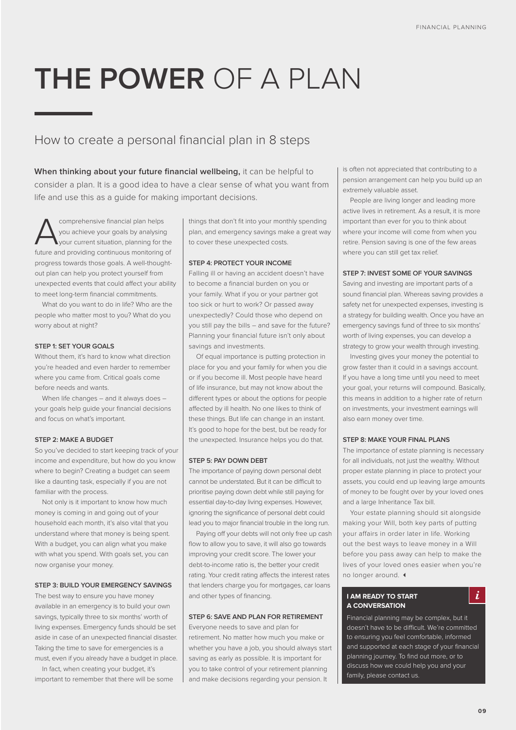# **THE POWER** OF A PLAN

### How to create a personal financial plan in 8 steps

**When thinking about your future financial wellbeing,** it can be helpful to consider a plan. It is a good idea to have a clear sense of what you want from life and use this as a guide for making important decisions.

comprehensive financial plan helps<br>you achieve your goals by analysing<br>future and providing continuous monitoring you achieve your goals by analysing your current situation, planning for the future and providing continuous monitoring of progress towards those goals. A well-thoughtout plan can help you protect yourself from unexpected events that could affect your ability to meet long-term financial commitments.

What do you want to do in life? Who are the people who matter most to you? What do you worry about at night?

#### **STEP 1: SET YOUR GOALS**

Without them, it's hard to know what direction you're headed and even harder to remember where you came from. Critical goals come before needs and wants.

When life changes – and it always does – your goals help guide your financial decisions and focus on what's important.

#### **STEP 2: MAKE A BUDGET**

So you've decided to start keeping track of your income and expenditure, but how do you know where to begin? Creating a budget can seem like a daunting task, especially if you are not familiar with the process.

Not only is it important to know how much money is coming in and going out of your household each month, it's also vital that you understand where that money is being spent. With a budget, you can align what you make with what you spend. With goals set, you can now organise your money.

#### **STEP 3: BUILD YOUR EMERGENCY SAVINGS**

The best way to ensure you have money available in an emergency is to build your own savings, typically three to six months' worth of living expenses. Emergency funds should be set aside in case of an unexpected financial disaster. Taking the time to save for emergencies is a must, even if you already have a budget in place.

In fact, when creating your budget, it's important to remember that there will be some things that don't fit into your monthly spending plan, and emergency savings make a great way to cover these unexpected costs.

#### **STEP 4: PROTECT YOUR INCOME**

Falling ill or having an accident doesn't have to become a financial burden on you or your family. What if you or your partner got too sick or hurt to work? Or passed away unexpectedly? Could those who depend on you still pay the bills – and save for the future? Planning your financial future isn't only about savings and investments.

Of equal importance is putting protection in place for you and your family for when you die or if you become ill. Most people have heard of life insurance, but may not know about the different types or about the options for people affected by ill health. No one likes to think of these things. But life can change in an instant. It's good to hope for the best, but be ready for the unexpected. Insurance helps you do that.

#### **STEP 5: PAY DOWN DEBT**

The importance of paying down personal debt cannot be understated. But it can be difficult to prioritise paying down debt while still paying for essential day-to-day living expenses. However, ignoring the significance of personal debt could lead you to major financial trouble in the long run.

Paying off your debts will not only free up cash flow to allow you to save, it will also go towards improving your credit score. The lower your debt-to-income ratio is, the better your credit rating. Your credit rating affects the interest rates that lenders charge you for mortgages, car loans and other types of financing.

#### **STEP 6: SAVE AND PLAN FOR RETIREMENT**

Everyone needs to save and plan for retirement. No matter how much you make or whether you have a job, you should always start saving as early as possible. It is important for you to take control of your retirement planning and make decisions regarding your pension. It

is often not appreciated that contributing to a pension arrangement can help you build up an extremely valuable asset.

People are living longer and leading more active lives in retirement. As a result, it is more important than ever for you to think about where your income will come from when you retire. Pension saving is one of the few areas where you can still get tax relief.

#### **STEP 7: INVEST SOME OF YOUR SAVINGS**

Saving and investing are important parts of a sound financial plan. Whereas saving provides a safety net for unexpected expenses, investing is a strategy for building wealth. Once you have an emergency savings fund of three to six months' worth of living expenses, you can develop a strategy to grow your wealth through investing.

Investing gives your money the potential to grow faster than it could in a savings account. If you have a long time until you need to meet your goal, your returns will compound. Basically, this means in addition to a higher rate of return on investments, your investment earnings will also earn money over time.

#### **STEP 8: MAKE YOUR FINAL PLANS**

The importance of estate planning is necessary for all individuals, not just the wealthy. Without proper estate planning in place to protect your assets, you could end up leaving large amounts of money to be fought over by your loved ones and a large Inheritance Tax bill.

Your estate planning should sit alongside making your Will, both key parts of putting your affairs in order later in life. Working out the best ways to leave money in a Will before you pass away can help to make the lives of your loved ones easier when you're no longer around. 4

#### **I AM READY TO START A CONVERSATION**

 $\mathbf{i}$ 

Financial planning may be complex, but it doesn't have to be difficult. We're committed to ensuring you feel comfortable, informed and supported at each stage of your financial planning journey. To find out more, or to discuss how we could help you and your family, please contact us.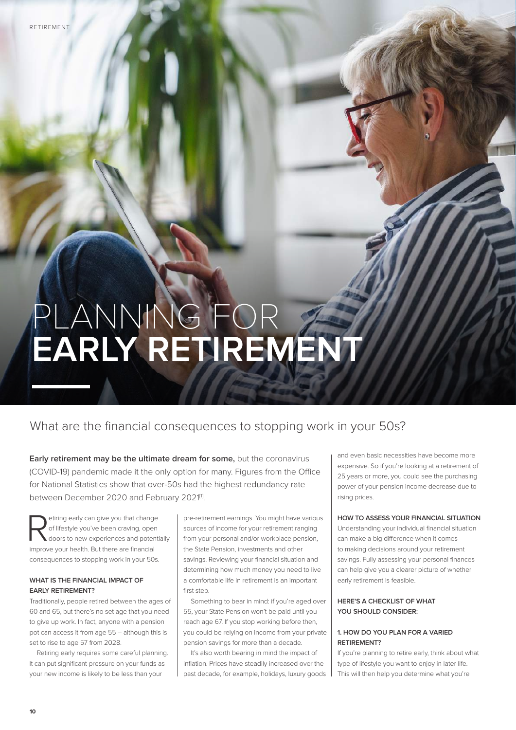# PLANNING FOR **EARLY RETIREMENT**

### What are the financial consequences to stopping work in your 50s?

**Early retirement may be the ultimate dream for some,** but the coronavirus (COVID-19) pandemic made it the only option for many. Figures from the Office for National Statistics show that over-50s had the highest redundancy rate between December 2020 and February 2021<sup>[1]</sup>.

etiring early can give you that change<br>of lifestyle you've been craving, open<br>doors to new experiences and potential of lifestyle you've been craving, open doors to new experiences and potentially improve your health. But there are financial consequences to stopping work in your 50s.

#### **WHAT IS THE FINANCIAL IMPACT OF EARLY RETIREMENT?**

Traditionally, people retired between the ages of 60 and 65, but there's no set age that you need to give up work. In fact, anyone with a pension pot can access it from age 55 – although this is set to rise to age 57 from 2028.

Retiring early requires some careful planning. It can put significant pressure on your funds as your new income is likely to be less than your

pre-retirement earnings. You might have various sources of income for your retirement ranging from your personal and/or workplace pension the State Pension, investments and other savings. Reviewing your financial situation and determining how much money you need to live a comfortable life in retirement is an important first step.

Something to bear in mind: if you're aged over 55, your State Pension won't be paid until you reach age 67. If you stop working before then, you could be relying on income from your private pension savings for more than a decade.

It's also worth bearing in mind the impact of inflation. Prices have steadily increased over the past decade, for example, holidays, luxury goods and even basic necessities have become more expensive. So if you're looking at a retirement of 25 years or more, you could see the purchasing power of your pension income decrease due to rising prices.

#### **HOW TO ASSESS YOUR FINANCIAL SITUATION**

Understanding your individual financial situation can make a big difference when it comes to making decisions around your retirement savings. Fully assessing your personal finances can help give you a clearer picture of whether early retirement is feasible.

#### **HERE'S A CHECKLIST OF WHAT YOU SHOULD CONSIDER:**

#### **1. HOW DO YOU PLAN FOR A VARIED RETIREMENT?**

If you're planning to retire early, think about what type of lifestyle you want to enjoy in later life. This will then help you determine what you're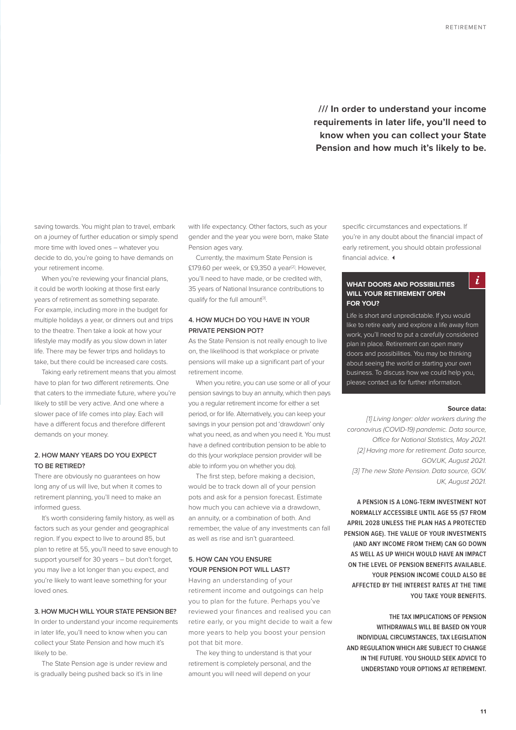**/// In order to understand your income requirements in later life, you'll need to know when you can collect your State Pension and how much it's likely to be.** 

saving towards. You might plan to travel, embark on a journey of further education or simply spend more time with loved ones – whatever you decide to do, you're going to have demands on your retirement income.

When you're reviewing your financial plans, it could be worth looking at those first early years of retirement as something separate. For example, including more in the budget for multiple holidays a year, or dinners out and trips to the theatre. Then take a look at how your lifestyle may modify as you slow down in later life. There may be fewer trips and holidays to take, but there could be increased care costs.

Taking early retirement means that you almost have to plan for two different retirements. One that caters to the immediate future, where you're likely to still be very active. And one where a slower pace of life comes into play. Each will have a different focus and therefore different demands on your money.

#### **2. HOW MANY YEARS DO YOU EXPECT TO BE RETIRED?**

There are obviously no guarantees on how long any of us will live, but when it comes to retirement planning, you'll need to make an informed guess.

It's worth considering family history, as well as factors such as your gender and geographical region. If you expect to live to around 85, but plan to retire at 55, you'll need to save enough to support yourself for 30 years – but don't forget, you may live a lot longer than you expect, and you're likely to want leave something for your loved ones.

#### **3. HOW MUCH WILL YOUR STATE PENSION BE?**

In order to understand your income requirements in later life, you'll need to know when you can collect your State Pension and how much it's likely to be.

The State Pension age is under review and is gradually being pushed back so it's in line

with life expectancy. Other factors, such as your gender and the year you were born, make State Pension ages vary.

Currently, the maximum State Pension is £179.60 per week, or £9,350 a year<sup>[2]</sup>. However, you'll need to have made, or be credited with, 35 years of National Insurance contributions to qualify for the full amount<sup>[3]</sup>.

#### **4. HOW MUCH DO YOU HAVE IN YOUR PRIVATE PENSION POT?**

As the State Pension is not really enough to live on, the likelihood is that workplace or private pensions will make up a significant part of your retirement income.

When you retire, you can use some or all of your pension savings to buy an annuity, which then pays you a regular retirement income for either a set period, or for life. Alternatively, you can keep your savings in your pension pot and 'drawdown' only what you need, as and when you need it. You must have a defined contribution pension to be able to do this (your workplace pension provider will be able to inform you on whether you do).

The first step, before making a decision, would be to track down all of your pension pots and ask for a pension forecast. Estimate how much you can achieve via a drawdown, an annuity, or a combination of both. And remember, the value of any investments can fall as well as rise and isn't guaranteed.

#### **5. HOW CAN YOU ENSURE YOUR PENSION POT WILL LAST?**

Having an understanding of your retirement income and outgoings can help you to plan for the future. Perhaps you've reviewed your finances and realised you can retire early, or you might decide to wait a few more years to help you boost your pension pot that bit more.

The key thing to understand is that your retirement is completely personal, and the amount you will need will depend on your

specific circumstances and expectations. If you're in any doubt about the financial impact of early retirement, you should obtain professional financial advice. 4

#### **WHAT DOORS AND POSSIBILITIES WILL YOUR RETIREMENT OPEN FOR YOU?**

Life is short and unpredictable. If you would like to retire early and explore a life away from work, you'll need to put a carefully considered plan in place. Retirement can open many doors and possibilities. You may be thinking about seeing the world or starting your own business. To discuss how we could help you, please contact us for further information.

#### **Source data:**

 $\mathbf{i}$ 

*[1] Living longer: older workers during the coronavirus (COVID-19) pandemic. Data source, Office for National Statistics, May 2021. [2] Having more for retirement. Data source, GOV.UK, August 2021. [3] The new State Pension. Data source, GOV. UK, August 2021.*

**A PENSION IS A LONG-TERM INVESTMENT NOT NORMALLY ACCESSIBLE UNTIL AGE 55 (57 FROM APRIL 2028 UNLESS THE PLAN HAS A PROTECTED PENSION AGE). THE VALUE OF YOUR INVESTMENTS (AND ANY INCOME FROM THEM) CAN GO DOWN AS WELL AS UP WHICH WOULD HAVE AN IMPACT ON THE LEVEL OF PENSION BENEFITS AVAILABLE. YOUR PENSION INCOME COULD ALSO BE AFFECTED BY THE INTEREST RATES AT THE TIME YOU TAKE YOUR BENEFITS.** 

**THE TAX IMPLICATIONS OF PENSION WITHDRAWALS WILL BE BASED ON YOUR INDIVIDUAL CIRCUMSTANCES, TAX LEGISLATION AND REGULATION WHICH ARE SUBJECT TO CHANGE IN THE FUTURE. YOU SHOULD SEEK ADVICE TO UNDERSTAND YOUR OPTIONS AT RETIREMENT.**